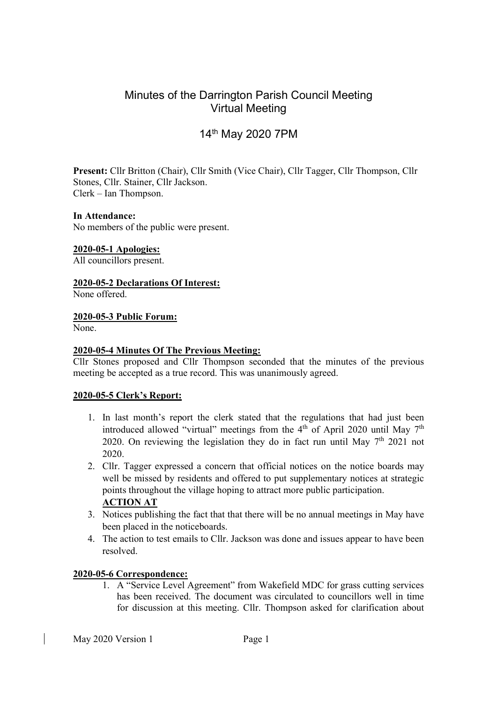## Minutes of the Darrington Parish Council Meeting Virtual Meeting

# 14th May 2020 7PM

Present: Cllr Britton (Chair), Cllr Smith (Vice Chair), Cllr Tagger, Cllr Thompson, Cllr Stones, Cllr. Stainer, Cllr Jackson. Clerk – Ian Thompson.

#### In Attendance:

No members of the public were present.

#### 2020-05-1 Apologies:

All councillors present.

2020-05-2 Declarations Of Interest:

None offered.

#### 2020-05-3 Public Forum:

None.

#### 2020-05-4 Minutes Of The Previous Meeting:

Cllr Stones proposed and Cllr Thompson seconded that the minutes of the previous meeting be accepted as a true record. This was unanimously agreed.

## 2020-05-5 Clerk's Report:

- 1. In last month's report the clerk stated that the regulations that had just been introduced allowed "virtual" meetings from the  $4<sup>th</sup>$  of April 2020 until May 7<sup>th</sup> 2020. On reviewing the legislation they do in fact run until May  $7<sup>th</sup>$  2021 not 2020.
- 2. Cllr. Tagger expressed a concern that official notices on the notice boards may well be missed by residents and offered to put supplementary notices at strategic points throughout the village hoping to attract more public participation. ACTION AT
- 3. Notices publishing the fact that that there will be no annual meetings in May have been placed in the noticeboards.
- 4. The action to test emails to Cllr. Jackson was done and issues appear to have been resolved.

## 2020-05-6 Correspondence:

1. A "Service Level Agreement" from Wakefield MDC for grass cutting services has been received. The document was circulated to councillors well in time for discussion at this meeting. Cllr. Thompson asked for clarification about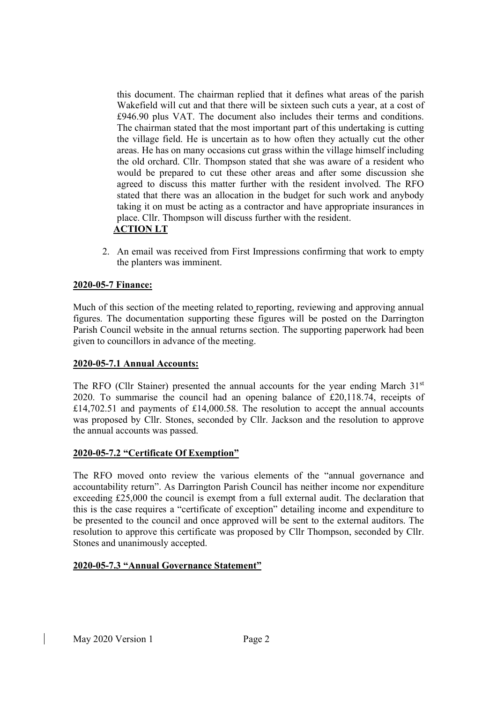this document. The chairman replied that it defines what areas of the parish Wakefield will cut and that there will be sixteen such cuts a year, at a cost of £946.90 plus VAT. The document also includes their terms and conditions. The chairman stated that the most important part of this undertaking is cutting the village field. He is uncertain as to how often they actually cut the other areas. He has on many occasions cut grass within the village himself including the old orchard. Cllr. Thompson stated that she was aware of a resident who would be prepared to cut these other areas and after some discussion she agreed to discuss this matter further with the resident involved. The RFO stated that there was an allocation in the budget for such work and anybody taking it on must be acting as a contractor and have appropriate insurances in place. Cllr. Thompson will discuss further with the resident. ACTION LT

2. An email was received from First Impressions confirming that work to empty the planters was imminent.

## 2020-05-7 Finance:

Much of this section of the meeting related to reporting, reviewing and approving annual figures. The documentation supporting these figures will be posted on the Darrington Parish Council website in the annual returns section. The supporting paperwork had been given to councillors in advance of the meeting.

## 2020-05-7.1 Annual Accounts:

The RFO (Cllr Stainer) presented the annual accounts for the year ending March  $31<sup>st</sup>$ 2020. To summarise the council had an opening balance of £20,118.74, receipts of £14,702.51 and payments of £14,000.58. The resolution to accept the annual accounts was proposed by Cllr. Stones, seconded by Cllr. Jackson and the resolution to approve the annual accounts was passed.

## 2020-05-7.2 "Certificate Of Exemption"

The RFO moved onto review the various elements of the "annual governance and accountability return". As Darrington Parish Council has neither income nor expenditure exceeding £25,000 the council is exempt from a full external audit. The declaration that this is the case requires a "certificate of exception" detailing income and expenditure to be presented to the council and once approved will be sent to the external auditors. The resolution to approve this certificate was proposed by Cllr Thompson, seconded by Cllr. Stones and unanimously accepted.

## 2020-05-7.3 "Annual Governance Statement"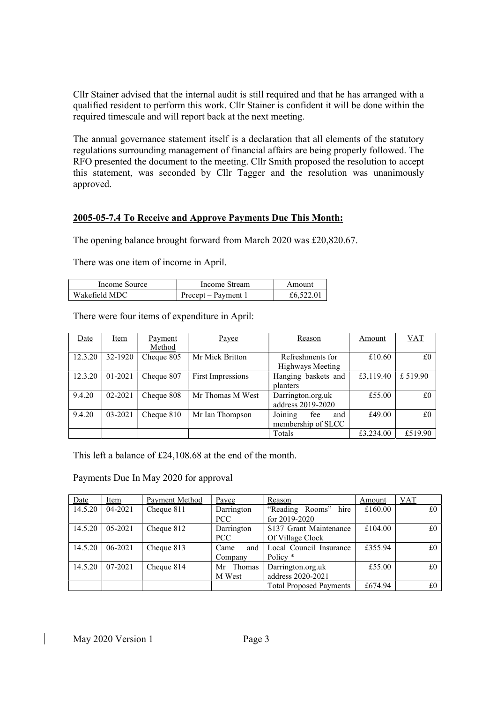Cllr Stainer advised that the internal audit is still required and that he has arranged with a qualified resident to perform this work. Cllr Stainer is confident it will be done within the required timescale and will report back at the next meeting.

The annual governance statement itself is a declaration that all elements of the statutory regulations surrounding management of financial affairs are being properly followed. The RFO presented the document to the meeting. Cllr Smith proposed the resolution to accept this statement, was seconded by Cllr Tagger and the resolution was unanimously approved.

#### 2005-05-7.4 To Receive and Approve Payments Due This Month:

The opening balance brought forward from March 2020 was £20,820.67.

There was one item of income in April.

| Income Source | Income Stream       | Amount   |
|---------------|---------------------|----------|
| Wakefield MDC | Precept – Payment 1 | £6,522.0 |

There were four items of expenditure in April:

| Date    | Item    | Payment    | Payee             | Reason                                      | Amount    | <b>VAT</b> |
|---------|---------|------------|-------------------|---------------------------------------------|-----------|------------|
|         |         | Method     |                   |                                             |           |            |
| 12.3.20 | 32-1920 | Cheque 805 | Mr Mick Britton   | Refreshments for<br>Highways Meeting        | £10.60    | £0         |
| 12.3.20 | 01-2021 | Cheque 807 | First Impressions | Hanging baskets and<br>planters             | £3,119.40 | £ 519.90   |
| 9.4.20  | 02-2021 | Cheque 808 | Mr Thomas M West  | Darrington.org.uk<br>address 2019-2020      | £55.00    | £0         |
| 9.4.20  | 03-2021 | Cheque 810 | Mr Ian Thompson   | Joining<br>fee<br>and<br>membership of SLCC | £49.00    | £0         |
|         |         |            |                   | Totals                                      | £3,234.00 | £519.90    |

This left a balance of £24,108.68 at the end of the month.

Payments Due In May 2020 for approval

| Date    | Item    | Payment Method | Payee       | Reason                         | Amount  | VAT |
|---------|---------|----------------|-------------|--------------------------------|---------|-----|
| 14.5.20 | 04-2021 | Cheque 811     | Darrington  | "Reading Rooms" hire           | £160.00 | £0  |
|         |         |                | PCC         | for $2019 - 2020$              |         |     |
| 14.5.20 | 05-2021 | Cheque 812     | Darrington  | S137 Grant Maintenance         | £104.00 | £0  |
|         |         |                | PCC         | Of Village Clock               |         |     |
| 14.5.20 | 06-2021 | Cheque 813     | and<br>Came | Local Council Insurance        | £355.94 | £0  |
|         |         |                | Company     | Policy <sup>*</sup>            |         |     |
| 14.5.20 | 07-2021 | Cheque 814     | Mr Thomas   | Darrington.org.uk              | £55.00  | £0  |
|         |         |                | M West      | address 2020-2021              |         |     |
|         |         |                |             | <b>Total Proposed Payments</b> | £674.94 | £0  |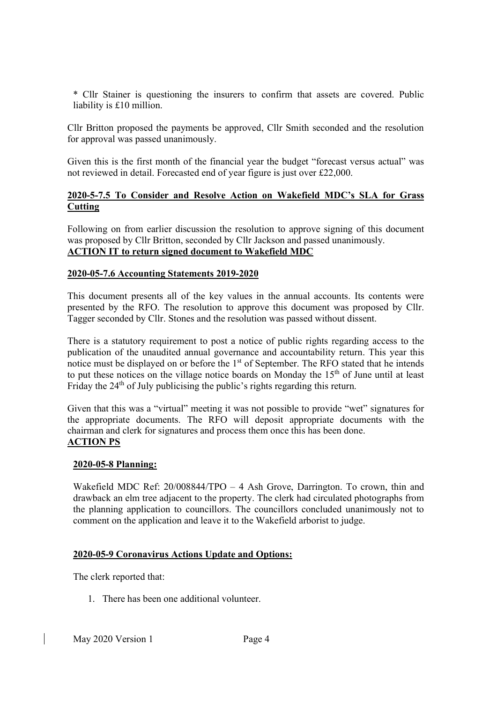\* Cllr Stainer is questioning the insurers to confirm that assets are covered. Public liability is £10 million.

Cllr Britton proposed the payments be approved, Cllr Smith seconded and the resolution for approval was passed unanimously.

Given this is the first month of the financial year the budget "forecast versus actual" was not reviewed in detail. Forecasted end of year figure is just over £22,000.

### 2020-5-7.5 To Consider and Resolve Action on Wakefield MDC's SLA for Grass **Cutting**

Following on from earlier discussion the resolution to approve signing of this document was proposed by Cllr Britton, seconded by Cllr Jackson and passed unanimously. ACTION IT to return signed document to Wakefield MDC

#### 2020-05-7.6 Accounting Statements 2019-2020

This document presents all of the key values in the annual accounts. Its contents were presented by the RFO. The resolution to approve this document was proposed by Cllr. Tagger seconded by Cllr. Stones and the resolution was passed without dissent.

There is a statutory requirement to post a notice of public rights regarding access to the publication of the unaudited annual governance and accountability return. This year this notice must be displayed on or before the  $1<sup>st</sup>$  of September. The RFO stated that he intends to put these notices on the village notice boards on Monday the 15<sup>th</sup> of June until at least Friday the 24<sup>th</sup> of July publicising the public's rights regarding this return.

Given that this was a "virtual" meeting it was not possible to provide "wet" signatures for the appropriate documents. The RFO will deposit appropriate documents with the chairman and clerk for signatures and process them once this has been done. ACTION PS

#### 2020-05-8 Planning:

Wakefield MDC Ref: 20/008844/TPO – 4 Ash Grove, Darrington. To crown, thin and drawback an elm tree adjacent to the property. The clerk had circulated photographs from the planning application to councillors. The councillors concluded unanimously not to comment on the application and leave it to the Wakefield arborist to judge.

## 2020-05-9 Coronavirus Actions Update and Options:

The clerk reported that:

1. There has been one additional volunteer.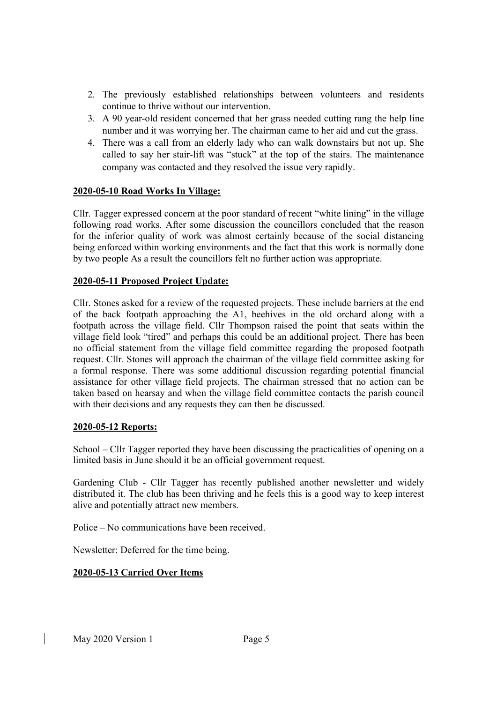- 2. The previously established relationships between volunteers and residents continue to thrive without our intervention.
- 3. A 90 year-old resident concerned that her grass needed cutting rang the help line number and it was worrying her. The chairman came to her aid and cut the grass.
- 4. There was a call from an elderly lady who can walk downstairs but not up. She called to say her stair-lift was "stuck" at the top of the stairs. The maintenance company was contacted and they resolved the issue very rapidly.

#### 2020-05-10 Road Works In Village:

Cllr. Tagger expressed concern at the poor standard of recent "white lining" in the village following road works. After some discussion the councillors concluded that the reason for the inferior quality of work was almost certainly because of the social distancing being enforced within working environments and the fact that this work is normally done by two people As a result the councillors felt no further action was appropriate.

#### 2020-05-11 Proposed Project Update:

Cllr. Stones asked for a review of the requested projects. These include barriers at the end of the back footpath approaching the A1, beehives in the old orchard along with a footpath across the village field. Cllr Thompson raised the point that seats within the village field look "tired" and perhaps this could be an additional project. There has been no official statement from the village field committee regarding the proposed footpath request. Cllr. Stones will approach the chairman of the village field committee asking for a formal response. There was some additional discussion regarding potential financial assistance for other village field projects. The chairman stressed that no action can be taken based on hearsay and when the village field committee contacts the parish council with their decisions and any requests they can then be discussed.

#### 2020-05-12 Reports:

School – Cllr Tagger reported they have been discussing the practicalities of opening on a limited basis in June should it be an official government request.

Gardening Club - Cllr Tagger has recently published another newsletter and widely distributed it. The club has been thriving and he feels this is a good way to keep interest alive and potentially attract new members.

Police – No communications have been received.

Newsletter: Deferred for the time being.

## 2020-05-13 Carried Over Items